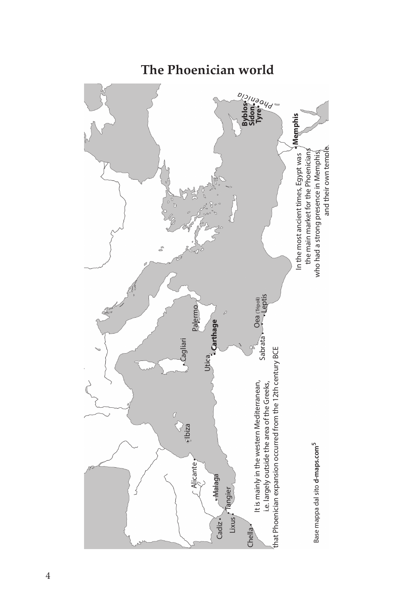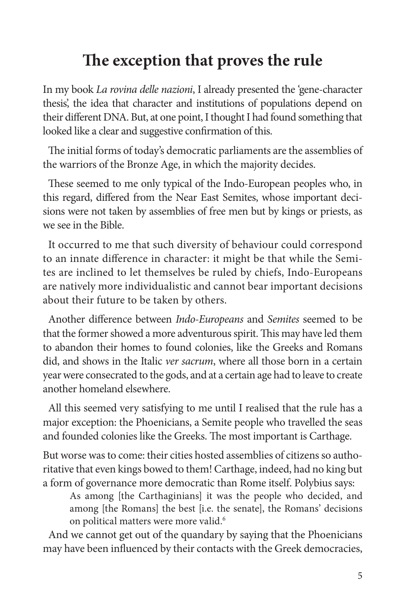## **The exception that proves the rule**

In my book *La rovina delle nazioni*, I already presented the 'gene-character thesis', the idea that character and institutions of populations depend on their different DNA. But, at one point, I thought I had found something that looked like a clear and suggestive confirmation of this.

The initial forms of today's democratic parliaments are the assemblies of the warriors of the Bronze Age, in which the majority decides.

These seemed to me only typical of the Indo-European peoples who, in this regard, differed from the Near East Semites, whose important decisions were not taken by assemblies of free men but by kings or priests, as we see in the Bible.

It occurred to me that such diversity of behaviour could correspond to an innate difference in character: it might be that while the Semites are inclined to let themselves be ruled by chiefs, Indo-Europeans are natively more individualistic and cannot bear important decisions about their future to be taken by others.

Another difference between *Indo-Europeans* and *Semites* seemed to be that the former showed a more adventurous spirit. This may have led them to abandon their homes to found colonies, like the Greeks and Romans did, and shows in the Italic *ver sacrum*, where all those born in a certain year were consecrated to the gods, and at a certain age had to leave to create another homeland elsewhere.

All this seemed very satisfying to me until I realised that the rule has a major exception: the Phoenicians, a Semite people who travelled the seas and founded colonies like the Greeks. The most important is Carthage.

But worse was to come: their cities hosted assemblies of citizens so authoritative that even kings bowed to them! Carthage, indeed, had no king but a form of governance more democratic than Rome itself. Polybius says:

As among [the Carthaginians] it was the people who decided, and among [the Romans] the best [i.e. the senate], the Romans' decisions on political matters were more valid.<sup>6</sup>

And we cannot get out of the quandary by saying that the Phoenicians may have been influenced by their contacts with the Greek democracies,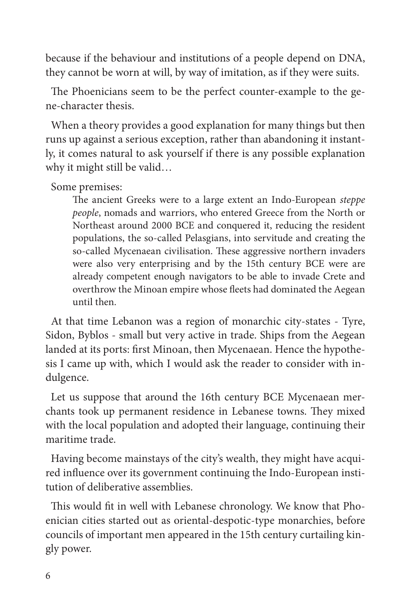because if the behaviour and institutions of a people depend on DNA, they cannot be worn at will, by way of imitation, as if they were suits.

The Phoenicians seem to be the perfect counter-example to the gene-character thesis.

When a theory provides a good explanation for many things but then runs up against a serious exception, rather than abandoning it instantly, it comes natural to ask yourself if there is any possible explanation why it might still be valid…

Some premises:

The ancient Greeks were to a large extent an Indo-European *steppe people*, nomads and warriors, who entered Greece from the North or Northeast around 2000 BCE and conquered it, reducing the resident populations, the so-called Pelasgians, into servitude and creating the so-called Mycenaean civilisation. These aggressive northern invaders were also very enterprising and by the 15th century BCE were are already competent enough navigators to be able to invade Crete and overthrow the Minoan empire whose fleets had dominated the Aegean until then.

At that time Lebanon was a region of monarchic city-states - Tyre, Sidon, Byblos - small but very active in trade. Ships from the Aegean landed at its ports: first Minoan, then Mycenaean. Hence the hypothesis I came up with, which I would ask the reader to consider with indulgence.

Let us suppose that around the 16th century BCE Mycenaean merchants took up permanent residence in Lebanese towns. They mixed with the local population and adopted their language, continuing their maritime trade.

Having become mainstays of the city's wealth, they might have acquired influence over its government continuing the Indo-European institution of deliberative assemblies.

This would fit in well with Lebanese chronology. We know that Phoenician cities started out as oriental-despotic-type monarchies, before councils of important men appeared in the 15th century curtailing kingly power.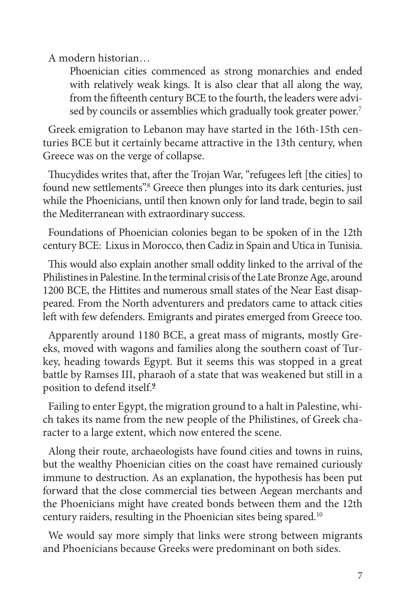A modern historian…

Phoenician cities commenced as strong monarchies and ended with relatively weak kings. It is also clear that all along the way, from the fifteenth century BCE to the fourth, the leaders were advised by councils or assemblies which gradually took greater power.<sup>7</sup>

Greek emigration to Lebanon may have started in the 16th-15th centuries BCE but it certainly became attractive in the 13th century, when Greece was on the verge of collapse.

Thucydides writes that, after the Trojan War, "refugees left [the cities] to found new settlements".<sup>8</sup> Greece then plunges into its dark centuries, just while the Phoenicians, until then known only for land trade, begin to sail the Mediterranean with extraordinary success.

Foundations of Phoenician colonies began to be spoken of in the 12th century BCE: Lixus in Morocco, then Cadiz in Spain and Utica in Tunisia.

This would also explain another small oddity linked to the arrival of the Philistines in Palestine. In the terminal crisis of the Late Bronze Age, around 1200 BCE, the Hittites and numerous small states of the Near East disappeared. From the North adventurers and predators came to attack cities left with few defenders. Emigrants and pirates emerged from Greece too.

Apparently around 1180 BCE, a great mass of migrants, mostly Greeks, moved with wagons and families along the southern coast of Turkey, heading towards Egypt. But it seems this was stopped in a great battle by Ramses III, pharaoh of a state that was weakened but still in a position to defend itself.**<sup>9</sup>**

Failing to enter Egypt, the migration ground to a halt in Palestine, which takes its name from the new people of the Philistines, of Greek character to a large extent, which now entered the scene.

Along their route, archaeologists have found cities and towns in ruins, but the wealthy Phoenician cities on the coast have remained curiously immune to destruction. As an explanation, the hypothesis has been put forward that the close commercial ties between Aegean merchants and the Phoenicians might have created bonds between them and the 12th century raiders, resulting in the Phoenician sites being spared.10

We would say more simply that links were strong between migrants and Phoenicians because Greeks were predominant on both sides.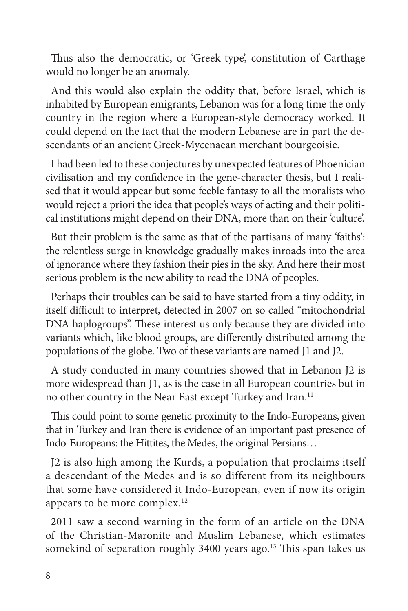Thus also the democratic, or 'Greek-type', constitution of Carthage would no longer be an anomaly.

And this would also explain the oddity that, before Israel, which is inhabited by European emigrants, Lebanon was for a long time the only country in the region where a European-style democracy worked. It could depend on the fact that the modern Lebanese are in part the descendants of an ancient Greek-Mycenaean merchant bourgeoisie.

I had been led to these conjectures by unexpected features of Phoenician civilisation and my confidence in the gene-character thesis, but I realised that it would appear but some feeble fantasy to all the moralists who would reject a priori the idea that people's ways of acting and their political institutions might depend on their DNA, more than on their 'culture'.

But their problem is the same as that of the partisans of many 'faiths': the relentless surge in knowledge gradually makes inroads into the area of ignorance where they fashion their pies in the sky. And here their most serious problem is the new ability to read the DNA of peoples.

Perhaps their troubles can be said to have started from a tiny oddity, in itself difficult to interpret, detected in 2007 on so called "mitochondrial DNA haplogroups". These interest us only because they are divided into variants which, like blood groups, are differently distributed among the populations of the globe. Two of these variants are named J1 and J2.

A study conducted in many countries showed that in Lebanon J2 is more widespread than J1, as is the case in all European countries but in no other country in the Near East except Turkey and Iran.<sup>11</sup>

This could point to some genetic proximity to the Indo-Europeans, given that in Turkey and Iran there is evidence of an important past presence of Indo-Europeans: the Hittites, the Medes, the original Persians…

J2 is also high among the Kurds, a population that proclaims itself a descendant of the Medes and is so different from its neighbours that some have considered it Indo-European, even if now its origin appears to be more complex.12

2011 saw a second warning in the form of an article on the DNA of the Christian-Maronite and Muslim Lebanese, which estimates somekind of separation roughly 3400 years ago.<sup>13</sup> This span takes us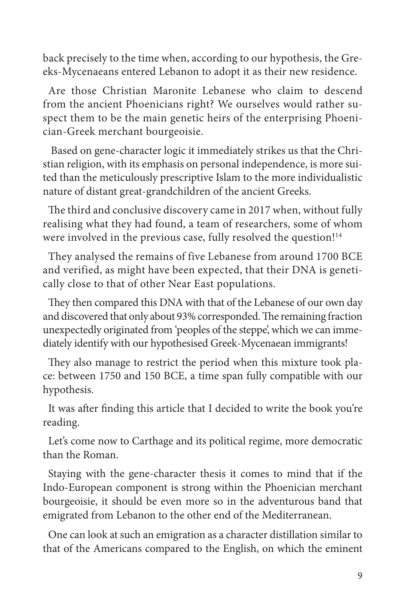back precisely to the time when, according to our hypothesis, the Greeks-Mycenaeans entered Lebanon to adopt it as their new residence.

Are those Christian Maronite Lebanese who claim to descend from the ancient Phoenicians right? We ourselves would rather suspect them to be the main genetic heirs of the enterprising Phoenician-Greek merchant bourgeoisie.

 Based on gene-character logic it immediately strikes us that the Christian religion, with its emphasis on personal independence, is more suited than the meticulously prescriptive Islam to the more individualistic nature of distant great-grandchildren of the ancient Greeks.

The third and conclusive discovery came in 2017 when, without fully realising what they had found, a team of researchers, some of whom were involved in the previous case, fully resolved the question!<sup>14</sup>

They analysed the remains of five Lebanese from around 1700 BCE and verified, as might have been expected, that their DNA is genetically close to that of other Near East populations.

They then compared this DNA with that of the Lebanese of our own day and discovered that only about 93% corresponded. The remaining fraction unexpectedly originated from 'peoples of the steppe', which we can immediately identify with our hypothesised Greek-Mycenaean immigrants!

They also manage to restrict the period when this mixture took place: between 1750 and 150 BCE, a time span fully compatible with our hypothesis.

It was after finding this article that I decided to write the book you're reading.

Let's come now to Carthage and its political regime, more democratic than the Roman.

Staying with the gene-character thesis it comes to mind that if the Indo-European component is strong within the Phoenician merchant bourgeoisie, it should be even more so in the adventurous band that emigrated from Lebanon to the other end of the Mediterranean.

One can look at such an emigration as a character distillation similar to that of the Americans compared to the English, on which the eminent